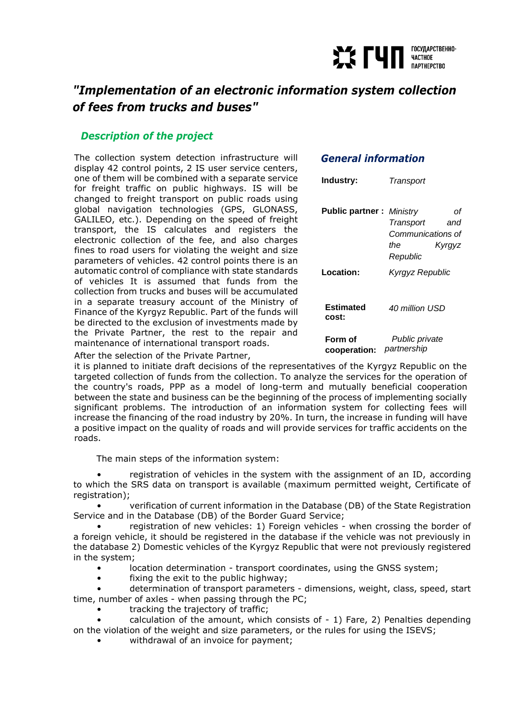

## *"Implementation of an electronic information system collection of fees from trucks and buses"*

## *Description of the project*

The collection system detection infrastructure will display 42 control points, 2 IS user service centers, one of them will be combined with a separate service for freight traffic on public highways. IS will be changed to freight transport on public roads using global navigation technologies (GPS, GLONASS, GALILEO, etc.). Depending on the speed of freight transport, the IS calculates and registers the electronic collection of the fee, and also charges fines to road users for violating the weight and size parameters of vehicles. 42 control points there is an automatic control of compliance with state standards of vehicles It is assumed that funds from the collection from trucks and buses will be accumulated in a separate treasury account of the Ministry of Finance of the Kyrgyz Republic. Part of the funds will be directed to the exclusion of investments made by the Private Partner, the rest to the repair and maintenance of international transport roads.

## *General information*

| Industry:                       | Transport                                                                |
|---------------------------------|--------------------------------------------------------------------------|
| <b>Public partner: Ministry</b> | оf<br>Transport<br>and<br>Communications of<br>the<br>Kyrgyz<br>Republic |
| Location:                       | Kyrgyz Republic                                                          |
| Estimated<br>cost:              | 40 million USD                                                           |
| Form of<br>cooperation:         | Public private<br>partnership                                            |

After the selection of the Private Partner,

it is planned to initiate draft decisions of the representatives of the Kyrgyz Republic on the targeted collection of funds from the collection. To analyze the services for the operation of the country's roads, PPP as a model of long-term and mutually beneficial cooperation between the state and business can be the beginning of the process of implementing socially significant problems. The introduction of an information system for collecting fees will increase the financing of the road industry by 20%. In turn, the increase in funding will have a positive impact on the quality of roads and will provide services for traffic accidents on the roads.

The main steps of the information system:

• registration of vehicles in the system with the assignment of an ID, according to which the SRS data on transport is available (maximum permitted weight, Certificate of registration);

• verification of current information in the Database (DB) of the State Registration Service and in the Database (DB) of the Border Guard Service;

• registration of new vehicles: 1) Foreign vehicles - when crossing the border of a foreign vehicle, it should be registered in the database if the vehicle was not previously in the database 2) Domestic vehicles of the Kyrgyz Republic that were not previously registered in the system;

- location determination transport coordinates, using the GNSS system;
- fixing the exit to the public highway;

• determination of transport parameters - dimensions, weight, class, speed, start time, number of axles - when passing through the PC;

• tracking the trajectory of traffic;

calculation of the amount, which consists of  $-1$ ) Fare, 2) Penalties depending on the violation of the weight and size parameters, or the rules for using the ISEVS;

withdrawal of an invoice for payment;